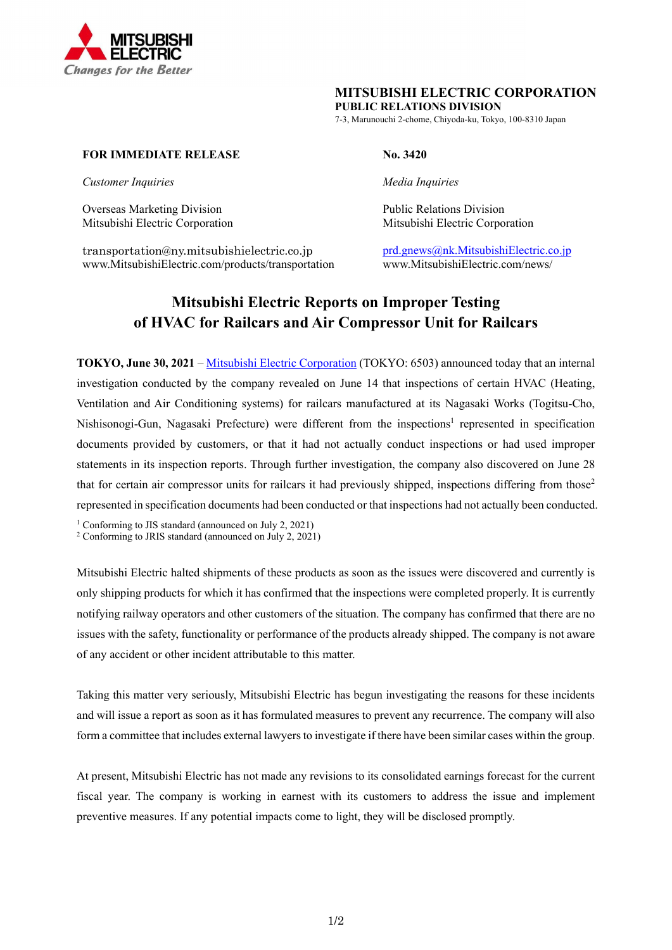

## **MITSUBISHI ELECTRIC CORPORATION**

**PUBLIC RELATIONS DIVISION**

7-3, Marunouchi 2-chome, Chiyoda-ku, Tokyo, 100-8310 Japan

## **FOR IMMEDIATE RELEASE** No. 3420

*Customer Inquiries* Media Inquiries **Media Inquiries** Media *Inquiries* 

Overseas Marketing Division **Public Relations Division** Public Relations Division

transportation@ny.mitsubishielectric.co.jp prd.gnews@nk.MitsubishiElectric.co.jp www.MitsubishiElectric.com/products/transportation www.MitsubishiElectric.com/news/

Mitsubishi Electric Corporation Mitsubishi Electric Corporation

# **Mitsubishi Electric Reports on Improper Testing of HVAC for Railcars and Air Compressor Unit for Railcars**

**TOKYO, June 30, 2021** – Mitsubishi Electric Corporation (TOKYO: 6503) announced today that an internal investigation conducted by the company revealed on June 14 that inspections of certain HVAC (Heating, Ventilation and Air Conditioning systems) for railcars manufactured at its Nagasaki Works (Togitsu-Cho, Nishisonogi-Gun, Nagasaki Prefecture) were different from the inspections<sup>1</sup> represented in specification documents provided by customers, or that it had not actually conduct inspections or had used improper statements in its inspection reports. Through further investigation, the company also discovered on June 28 that for certain air compressor units for railcars it had previously shipped, inspections differing from those<sup>2</sup> represented in specification documents had been conducted or that inspections had not actually been conducted.

<sup>1</sup> Conforming to JIS standard (announced on July 2, 2021)

2 Conforming to JRIS standard (announced on July 2, 2021)

Mitsubishi Electric halted shipments of these products as soon as the issues were discovered and currently is only shipping products for which it has confirmed that the inspections were completed properly. It is currently notifying railway operators and other customers of the situation. The company has confirmed that there are no issues with the safety, functionality or performance of the products already shipped. The company is not aware of any accident or other incident attributable to this matter.

Taking this matter very seriously, Mitsubishi Electric has begun investigating the reasons for these incidents and will issue a report as soon as it has formulated measures to prevent any recurrence. The company will also form a committee that includes external lawyers to investigate if there have been similar cases within the group.

At present, Mitsubishi Electric has not made any revisions to its consolidated earnings forecast for the current fiscal year. The company is working in earnest with its customers to address the issue and implement preventive measures. If any potential impacts come to light, they will be disclosed promptly.